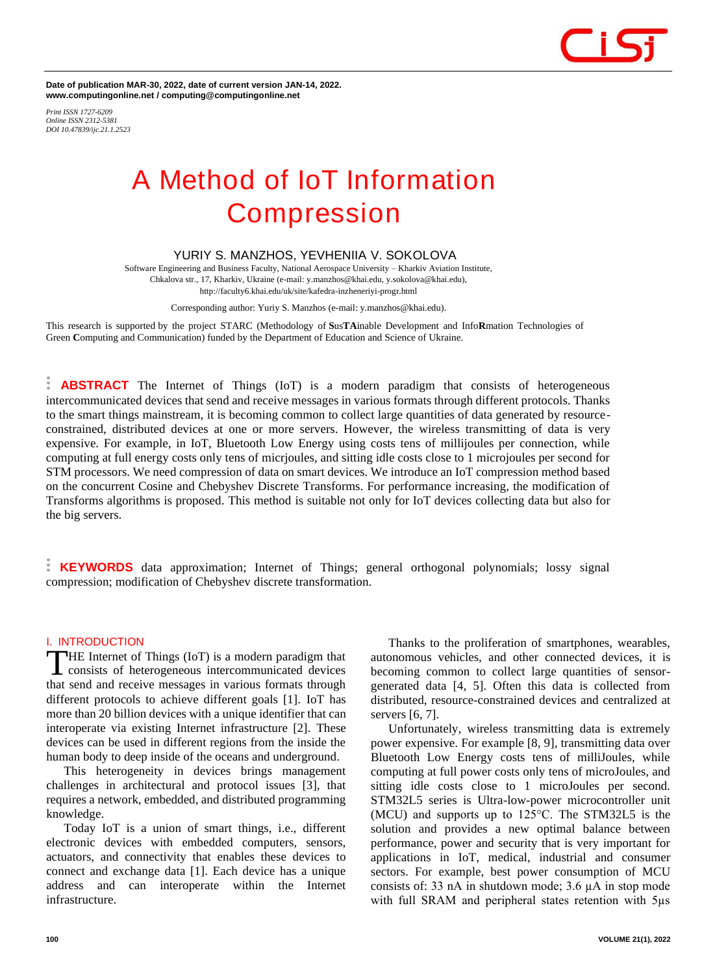

**Date of publication MAR-30, 2022, date of current version JAN-14, 2022. www.computingonline.net / computing@computingonline.net**

*Print ISSN 1727-6209 Online ISSN 2312-5381 DOI 10.47839/ijc.21.1.2523*

# **A Method of IoT Information Compression**

## **YURIY S. MANZHOS, YEVHENIIA V. SOKOLOVA**

Software Engineering and Business Faculty, National Aerospace University – Kharkiv Aviation Institute, Chkalova str., 17, Kharkiv, Ukraine (e-mail: y.manzhos@khai.edu, y.sokolova@khai.edu), http://faculty6.khai.edu/uk/site/kafedra-inzheneriyi-progr.html

Corresponding author: Yuriy S. Manzhos (e-mail: y.manzhos@khai.edu).

This research is supported by the project STARC (Methodology of **S**us**TA**inable Development and Info**R**mation Technologies of Green **C**omputing and Communication) funded by the Department of Education and Science of Ukraine.

**ABSTRACT** The Internet of Things (IoT) is a modern paradigm that consists of heterogeneous intercommunicated devices that send and receive messages in various formats through different protocols. Thanks to the smart things mainstream, it is becoming common to collect large quantities of data generated by resourceconstrained, distributed devices at one or more servers. However, the wireless transmitting of data is very expensive. For example, in IoT, Bluetooth Low Energy using costs tens of millijoules per connection, while computing at full energy costs only tens of micrjoules, and sitting idle costs close to 1 microjoules per second for STM processors. We need compression of data on smart devices. We introduce an IoT compression method based on the concurrent Cosine and Chebyshev Discrete Transforms. For performance increasing, the modification of Transforms algorithms is proposed. This method is suitable not only for IoT devices collecting data but also for the big servers.

**KEYWORDS** data approximation; Internet of Things; general orthogonal polynomials; lossy signal compression; modification of Chebyshev discrete transformation.

#### **I. INTRODUCTION**

HE Internet of Things (IoT) is a modern paradigm that THE Internet of Things (IoT) is a modern paradigm that<br>
consists of heterogeneous intercommunicated devices that send and receive messages in various formats through different protocols to achieve different goals [1]. IoT has more than 20 billion devices with a unique identifier that can interoperate via existing Internet infrastructure [2]. These devices can be used in different regions from the inside the human body to deep inside of the oceans and underground.

This heterogeneity in devices brings management challenges in architectural and protocol issues [3], that requires a network, embedded, and distributed programming knowledge.

Today IoT is a union of smart things, i.e., different electronic devices with embedded computers, sensors, actuators, and connectivity that enables these devices to connect and exchange data [1]. Each device has a unique address and can interoperate within the Internet infrastructure.

Thanks to the proliferation of smartphones, wearables, autonomous vehicles, and other connected devices, it is becoming common to collect large quantities of sensorgenerated data [4, 5]. Often this data is collected from distributed, resource-constrained devices and centralized at servers [6, 7].

Unfortunately, wireless transmitting data is extremely power expensive. For example [8, 9], transmitting data over Bluetooth Low Energy costs tens of milliJoules, while computing at full power costs only tens of microJoules, and sitting idle costs close to 1 microJoules per second. STM32L5 series is Ultra-low-power microcontroller unit (MCU) and supports up to 125°C. The STM32L5 is the solution and provides a new optimal balance between performance, power and security that is very important for applications in IoT, medical, industrial and consumer sectors. For example, best power consumption of MCU consists of: 33 nA in shutdown mode; 3.6 µA in stop mode with full SRAM and peripheral states retention with 5µs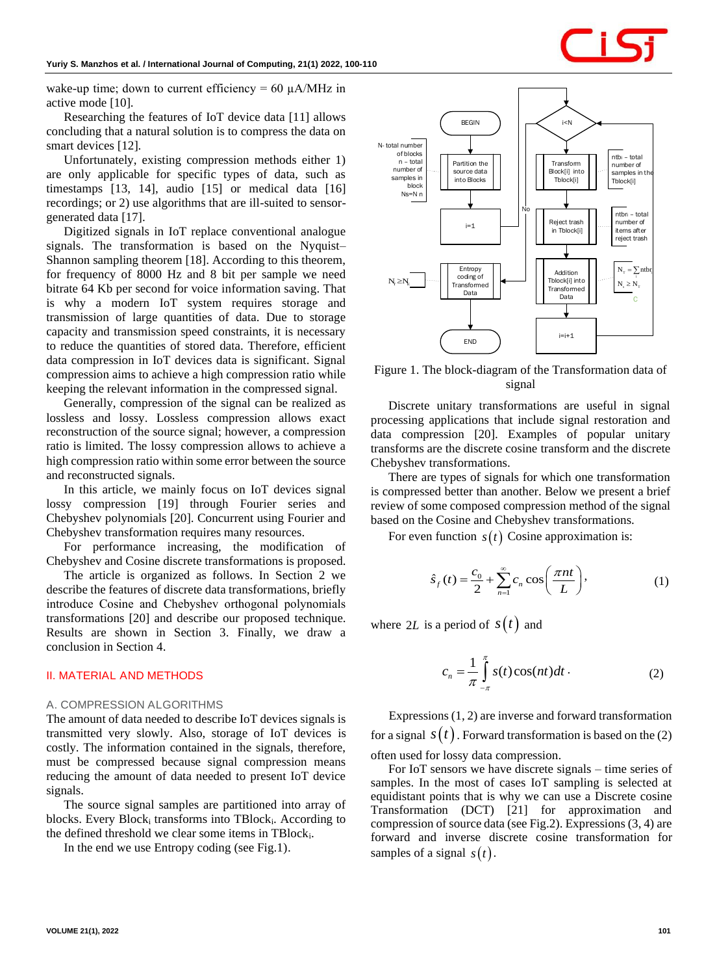wake-up time; down to current efficiency =  $60 \mu A/MHz$  in active mode [10].

Researching the features of IoT device data [11] allows concluding that a natural solution is to compress the data on smart devices [12].

Unfortunately, existing compression methods either 1) are only applicable for specific types of data, such as timestamps [13, 14], audio [15] or medical data [16] recordings; or 2) use algorithms that are ill-suited to sensorgenerated data [17].

Digitized signals in IoT replace conventional analogue signals. The transformation is based on the Nyquist– Shannon sampling theorem [18]. According to this theorem, for frequency of 8000 Hz and 8 bit per sample we need bitrate 64 Kb per second for voice information saving. That is why a modern IoT system requires storage and transmission of large quantities of data. Due to storage capacity and transmission speed constraints, it is necessary to reduce the quantities of stored data. Therefore, efficient data compression in IoT devices data is significant. Signal compression aims to achieve a high compression ratio while keeping the relevant information in the compressed signal.

Generally, compression of the signal can be realized as lossless and lossy. Lossless compression allows exact reconstruction of the source signal; however, a compression ratio is limited. The lossy compression allows to achieve a high compression ratio within some error between the source and reconstructed signals.

In this article, we mainly focus on IoT devices signal lossy compression [19] through Fourier series and Chebyshev polynomials [20]. Concurrent using Fourier and Chebyshev transformation requires many resources.

For performance increasing, the modification of Chebyshev and Cosine discrete transformations is proposed.

The article is organized as follows. In Section 2 we describe the features of discrete data transformations, briefly introduce Cosinе and Chebyshev orthogonal polynomials transformations [20] and describe our proposed technique. Results are shown in Section 3. Finally, we draw a conclusion in Section 4.

### **II. MATERIAL AND METHODS**

#### *A. COMPRESSION ALGORITHMS*

The amount of data needed to describe IoT devices signals is transmitted very slowly. Also, storage of IoT devices is costly. The information contained in the signals, therefore, must be compressed because signal compression means reducing the amount of data needed to present IoT device signals.

The source signal samples are partitioned into array of blocks. Every  $Block_i$  transforms into TBlock<sub>i</sub>. According to the defined threshold we clear some items in TBlocki.

In the end we use Entropy coding (see Fig.1).



Figure 1. The block-diagram of the Transformation data of signal

Discrete unitary transformations are useful in signal processing applications that include signal restoration and data compression [20]. Examples of popular unitary transforms are the discrete cosine transform and the discrete Chebyshev transformations.

There are types of signals for which one transformation is compressed better than another. Below we present a brief review of some composed compression method of the signal based on the Cosine and Chebyshev transformations.

For even function  $s(t)$  Cosine approximation is:

$$
\hat{s}_f(t) = \frac{c_0}{2} + \sum_{n=1}^{\infty} c_n \cos\left(\frac{\pi nt}{L}\right),\tag{1}
$$

where 2*L* is a period of  $s(t)$  and

$$
c_n = \frac{1}{\pi} \int_{-\pi}^{\pi} s(t) \cos(nt) dt \,. \tag{2}
$$

Expressions (1, 2) are inverse and forward transformation for a signal  $s(t)$ . Forward transformation is based on the (2) often used for lossy data compression.

For IoT sensors we have discrete signals – time series of samples. In the most of cases IoT sampling is selected at equidistant points that is why we can use a Discrete cosine Transformation (DCT) [21] for approximation and compression of source data (see Fig.2). Expressions (3, 4) are forward and inverse discrete cosine transformation for samples of a signal  $s(t)$ .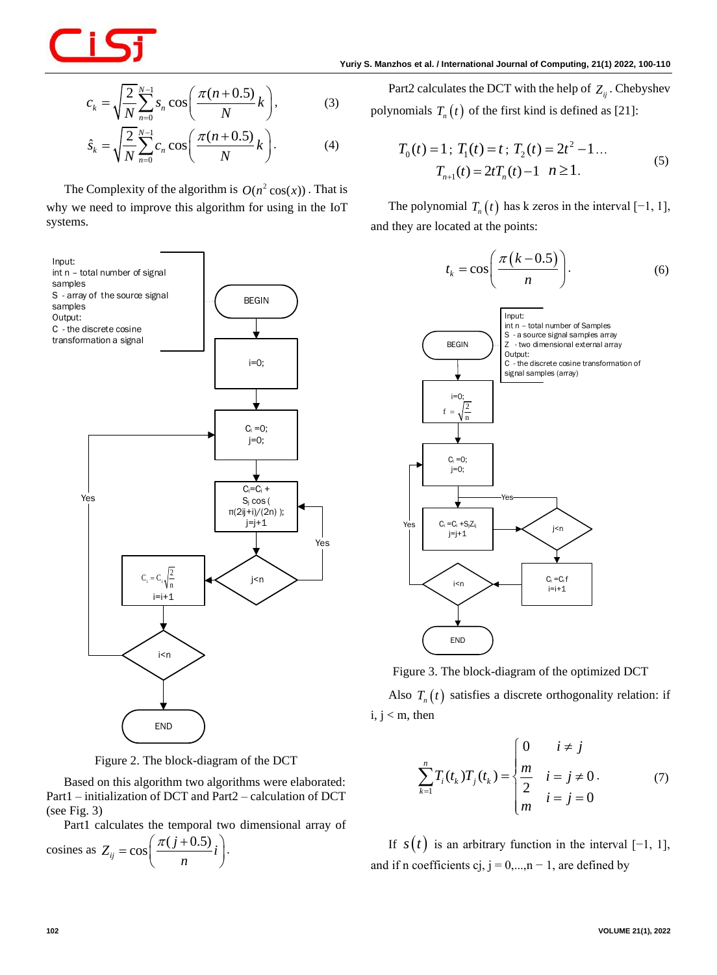

$$
c_k = \sqrt{\frac{2}{N}} \sum_{n=0}^{N-1} s_n \cos\left(\frac{\pi (n+0.5)}{N} k\right),
$$
 (3)

$$
\hat{s}_k = \sqrt{\frac{2}{N} \sum_{n=0}^{N-1} c_n \cos\left(\frac{\pi (n+0.5)}{N} k\right)}.
$$
 (4)

The Complexity of the algorithm is  $O(n^2 \cos(x))$ . That is why we need to improve this algorithm for using in the IoT systems.



Figure 2. The block-diagram of the DCT

Based on this algorithm two algorithms were elaborated: Part1 – initialization of DCT and Part2 – calculation of DCT (see Fig. 3)

Part1 calculates the temporal two dimensional array of

$$
\text{cosines as } Z_{ij} = \cos\left(\frac{\pi(j+0.5)}{n}i\right).
$$

Part2 calculates the DCT with the help of  $Z_{ij}$ . Chebyshev polynomials  $T_n(t)$  of the first kind is defined as [21]:

$$
T_0(t) = 1; T_1(t) = t; T_2(t) = 2t^2 - 1...
$$
  
\n
$$
T_{n+1}(t) = 2tT_n(t) - 1 \quad n \ge 1.
$$
 (5)

The polynomial  $T_n(t)$  has k zeros in the interval  $[-1, 1]$ , and they are located at the points:

$$
t_k = \cos\left(\frac{\pi (k-0.5)}{n}\right).
$$
 (6)



Figure 3. The block-diagram of the optimized DCT

Also  $T_n(t)$  satisfies a discrete orthogonality relation: if  $i, j < m$ , then

$$
\sum_{k=1}^{n} T_i(t_k) T_j(t_k) = \begin{cases} 0 & i \neq j \\ \frac{m}{2} & i = j \neq 0 \\ m & i = j = 0 \end{cases}
$$
 (7)

If  $s(t)$  is an arbitrary function in the interval  $[-1, 1]$ , and if n coefficients cj,  $j = 0,...,n - 1$ , are defined by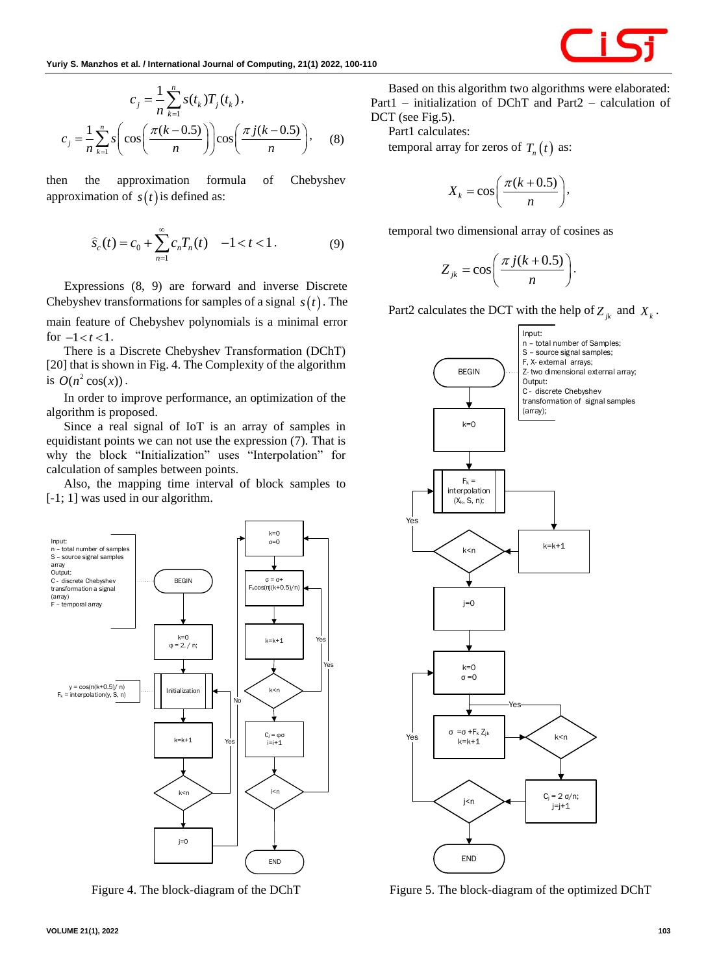$$
c_j = \frac{1}{n} \sum_{k=1}^n s(t_k) T_j(t_k),
$$
  

$$
c_j = \frac{1}{n} \sum_{k=1}^n s \left( \cos \left( \frac{\pi (k-0.5)}{n} \right) \right) \cos \left( \frac{\pi j (k-0.5)}{n} \right),
$$
 (8)

then the approximation formula of Chebyshev approximation of  $s(t)$  is defined as:

$$
\widehat{s}_{c}(t) = c_0 + \sum_{n=1}^{\infty} c_n T_n(t) \quad -1 < t < 1.
$$
 (9)

Expressions (8, 9) are forward and inverse Discrete Chebyshev transformations for samples of a signal  $s(t)$ . The main feature of Chebyshev polynomials is a minimal error for  $-1 < t < 1$ .

There is a Discrete Chebyshev Transformation (DChT) [20] that is shown in Fig. 4. The Complexity of the algorithm is  $O(n^2 \cos(x))$ .

In order to improve performance, an optimization of the algorithm is proposed.

Since a real signal of IoT is an array of samples in equidistant points we can not use the expression (7). That is why the block "Initialization" uses "Interpolation" for calculation of samples between points.

Also, the mapping time interval of block samples to [-1; 1] was used in our algorithm.



Figure 4. The block-diagram of the DChT

Based on this algorithm two algorithms were elaborated: Part1 – initialization of DChT and Part2 – calculation of DCT (see Fig.5).

Part1 calculates:

temporal array for zeros of  $T_n(t)$  as:

$$
X_k = \cos\bigg(\frac{\pi(k+0.5)}{n}\bigg),
$$

temporal two dimensional array of cosines as

$$
Z_{jk} = \cos\left(\frac{\pi j(k+0.5)}{n}\right).
$$

Part2 calculates the DCT with the help of  $Z_{jk}$  and  $X_k$ .



Figure 5. The block-diagram of the optimized DChT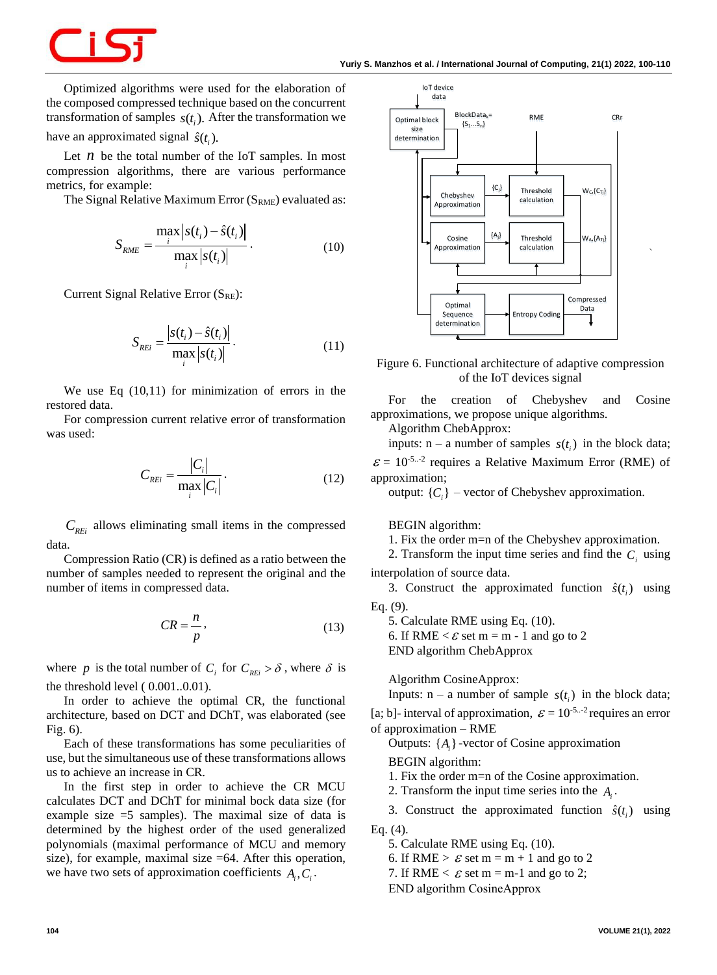Optimized algorithms were used for the elaboration of the composed compressed technique based on the concurrent transformation of samples  $s(t_i)$ . After the transformation we have an approximated signal  $\hat{s}(t_i)$ .

Let  $n$  be the total number of the IoT samples. In most compression algorithms, there are various performance metrics, for example:

The Signal Relative Maximum Error  $(S<sub>RME</sub>)$  evaluated as:

$$
S_{RME} = \frac{\max_{i} |s(t_i) - \hat{s}(t_i)|}{\max_{i} |s(t_i)|}.
$$
 (10)

Current Signal Relative Error (SRE):

$$
S_{REi} = \frac{\left| s(t_i) - \hat{s}(t_i) \right|}{\max_i \left| s(t_i) \right|}.
$$
\n(11)

We use Eq (10,11) for minimization of errors in the restored data.

For compression current relative error of transformation was used:

$$
C_{REi} = \frac{|C_i|}{\max_i |C_i|}.
$$
 (12)

*CREi* allows eliminating small items in the compressed data.

Compression Ratio (CR) is defined as a ratio between the number of samples needed to represent the original and the number of items in compressed data.

$$
CR = \frac{n}{p},\tag{13}
$$

where *p* is the total number of  $C_i$  for  $C_{REi} > \delta$ , where  $\delta$  is the threshold level ( 0.001..0.01).

In order to achieve the optimal CR, the functional architecture, based on DCT and DChT, was elaborated (see Fig. 6).

Each of these transformations has some peculiarities of use, but the simultaneous use of these transformations allows us to achieve an increase in CR.

In the first step in order to achieve the CR MCU calculates DCT and DChT for minimal bock data size (for example size =5 samples). The maximal size of data is determined by the highest order of the used generalized polynomials (maximal performance of MCU and memory size), for example, maximal size =64. After this operation, we have two sets of approximation coefficients  $A_i, C_i$ .



Figure 6. Functional architecture of adaptive compression of the IoT devices signal

For the creation of Chebyshev and Cosine approximations, we propose unique algorithms.

Algorithm ChebApprox:

inputs:  $n - a$  number of samples  $s(t_i)$  in the block data;

 $\mathcal{E} = 10^{-5}$ ...<sup>2</sup> requires a Relative Maximum Error (RME) of approximation;

output:  $\{C_i\}$  – vector of Chebyshev approximation.

BEGIN algorithm:

1. Fix the order m=n of the Chebyshev approximation.

2. Transform the input time series and find the  $C_i$  using interpolation of source data.

3. Construct the approximated function  $\hat{s}(t_i)$  using Eq. (9).

5. Calculate RME using Eq. (10).

6. If RME  $\lt \mathcal{E}$  set m = m - 1 and go to 2

END algorithm ChebApprox

Algorithm CosineApprox:

Inputs:  $n - a$  number of sample  $s(t_i)$  in the block data;

[a; b]- interval of approximation,  $\varepsilon = 10^{-5}$  requires an error of approximation – RME

Outputs:  $\{A_i\}$ -vector of Cosine approximation

BEGIN algorithm:

1. Fix the order m=n of the Cosine approximation.

2. Transform the input time series into the  $A_i$ .

3. Construct the approximated function  $\hat{s}(t_i)$  using Eq. (4).

5. Calculate RME using Eq. (10).

6. If RME >  $\varepsilon$  set m = m + 1 and go to 2

7. If RME  $\lt E$  set m = m-1 and go to 2;

END algorithm CosinеApprox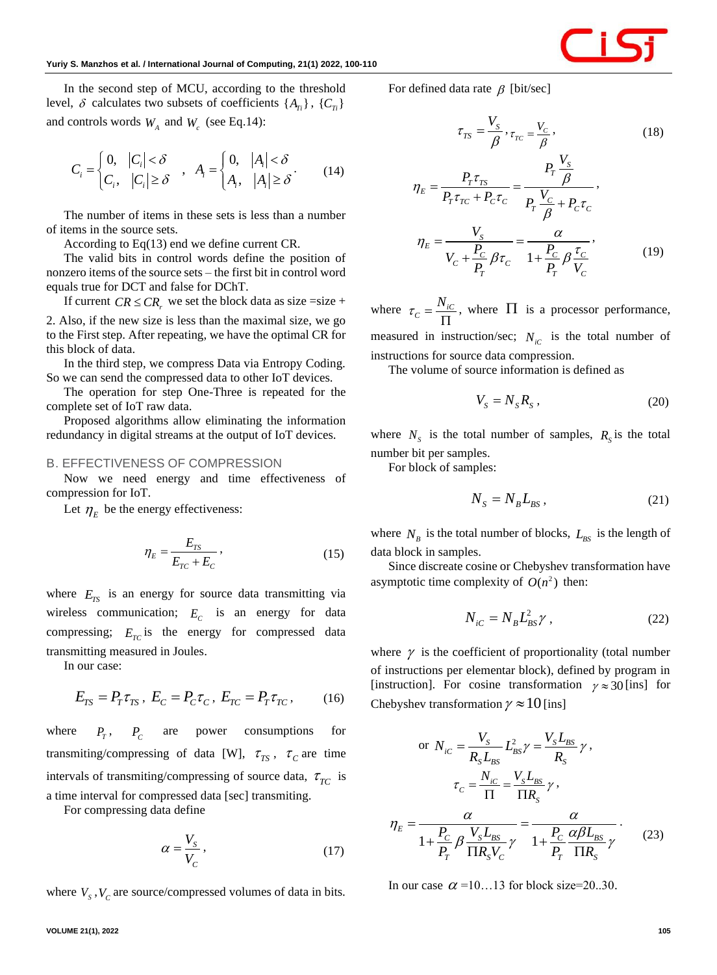In the second step of MCU, according to the threshold level,  $\delta$  calculates two subsets of coefficients  $\{A_{T_i}\}\,$ ,  $\{C_{T_i}\}\$ and controls words  $W_A$  and  $W_c$  (see Eq.14):

$$
C_i = \begin{cases} 0, & |C_i| < \delta \\ C_i, & |C_i| \ge \delta \end{cases}, \quad A_i = \begin{cases} 0, & |A_i| < \delta \\ A_i, & |A_i| \ge \delta \end{cases} \tag{14}
$$

The number of items in these sets is less than a number of items in the source sets.

According to Eq(13) end we define current CR.

The valid bits in control words define the position of nonzero items of the source sets – the first bit in control word equals true for DCT and false for DChT.

If current  $CR \leq CR$ , we set the block data as size =size +

2. Also, if the new size is less than the maximal size, we go to the First step. After repeating, we have the optimal CR for this block of data.

In the third step, we compress Data via Entropy Coding. So we can send the compressed data to other IoT devices.

The operation for step One-Three is repeated for the complete set of IoT raw data.

Proposed algorithms allow eliminating the information redundancy in digital streams at the output of IoT devices.

#### *B. EFFECTIVENESS OF COMPRESSION*

Now we need energy and time effectiveness of compression for IoT.

Let  $\eta_E$  be the energy effectiveness:

$$
\eta_E = \frac{E_{TS}}{E_{TC} + E_C},\tag{15}
$$

where  $E_{TS}$  is an energy for source data transmitting via wireless communication;  $E_c$  is an energy for data compressing;  $E_{TC}$  is the energy for compressed data transmitting measured in Joules.

In our case:

$$
E_{TS} = P_T \tau_{TS}, \ E_C = P_C \tau_C, \ E_{TC} = P_T \tau_{TC}, \tag{16}
$$

where  $P_T$ ,  $P_C$ are power consumptions for transmiting/compressing of data [W],  $\tau_{TS}$ ,  $\tau_c$  are time intervals of transmiting/compressing of source data,  $\tau_{TC}$  is a time interval for compressed data [sec] transmiting.

For compressing data define

$$
\alpha = \frac{V_s}{V_c},\tag{17}
$$

where  $V_s$ ,  $V_c$  are source/compressed volumes of data in bits.

For defined data rate  $\beta$  [bit/sec]

$$
\tau_{TS} = \frac{V_S}{\beta}, \tau_{TC} = \frac{V_C}{\beta},
$$
\n
$$
\eta_E = \frac{P_T \tau_{TS}}{P_T \tau_{TC} + P_C \tau_C} = \frac{P_T \frac{V_S}{\beta}}{P_T \frac{V_C}{\beta} + P_C \tau_C},
$$
\n
$$
\eta_E = \frac{V_S}{V_C + \frac{P_C}{P_T} \beta \tau_C} = \frac{\alpha}{1 + \frac{P_C}{P_T} \beta \frac{\tau_C}{V_C}},
$$
\n(19)

where  $\tau_c = \frac{N_i C}{\sigma}$  $\tau_c = \frac{N}{I}$  $\prod$ , where  $\Pi$  is a processor performance, measured in instruction/sec;  $N_{iC}$  is the total number of instructions for source data compression.

The volume of source information is defined as

$$
V_s = N_s R_s \,, \tag{20}
$$

where  $N_s$  is the total number of samples,  $R_s$  is the total number bit per samples.

For block of samples:

$$
N_s = N_B L_{BS},\qquad(21)
$$

where  $N_B$  is the total number of blocks,  $L_{BS}$  is the length of data block in samples.

Since discreate cosine or Chebyshev transformation have asymptotic time complexity of  $O(n^2)$  then:

$$
N_{iC} = N_B L_{BS}^2 \gamma \,,\tag{22}
$$

where  $\gamma$  is the coefficient of proportionality (total number of instructions per elementar block), defined by program in [instruction]. For cosine transformation  $\gamma \approx 30$  [ins] for Chebyshev transformation  $\gamma \approx 10$  [ins]

or 
$$
N_{iC} = \frac{V_S}{R_S L_{BS}} L_{BS}^2 \gamma = \frac{V_S L_{BS}}{R_S} \gamma,
$$

$$
\tau_C = \frac{N_{iC}}{\Pi} = \frac{V_S L_{BS}}{\Pi R_S} \gamma,
$$

$$
\eta_E = \frac{\alpha}{1 + \frac{P_C}{P_T} \beta \frac{V_S L_{BS}}{\Pi R_S V_C} \gamma} = \frac{\alpha}{1 + \frac{P_C}{P_T} \frac{\alpha \beta L_{BS}}{\Pi R_S} \gamma}.
$$
(23)

In our case  $\alpha$  =10...13 for block size=20..30.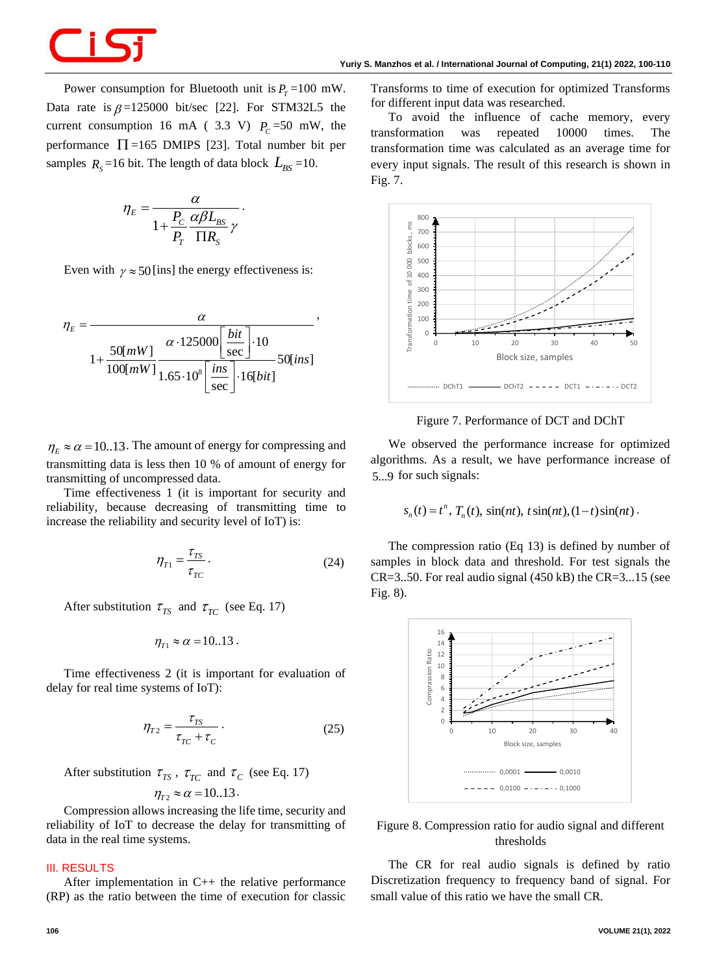

Power consumption for Bluetooth unit is  $P_T = 100$  mW. Data rate is  $\beta = 125000$  bit/sec [22]. For STM32L5 the current consumption 16 mA (3.3 V)  $P_c$ =50 mW, the performance  $\Pi = 165$  DMIPS [23]. Total number bit per samples  $R_s = 16$  bit. The length of data block  $L_{BS} = 10$ .

.

,

$$
\eta_E = \frac{\alpha}{1 + \frac{P_C}{P_T} \frac{\alpha \beta L_{BS}}{\Pi R_S} \gamma}
$$

Even with  $\gamma \approx 50$  [ins] the energy effectiveness is:

$$
\eta_E = \frac{\alpha}{1 + \frac{50[mW]}{100[mW]}} \frac{\alpha \cdot 125000 \left[ \frac{bit}{\text{sec}} \right] \cdot 10}{1.65 \cdot 10^8 \left[ \frac{ins}{\text{sec}} \right] \cdot 16 [bit]} 50 [ins]
$$

 $\eta_E \approx \alpha = 10..13$ . The amount of energy for compressing and transmitting data is less then 10 % of amount of energy for transmitting of uncompressed data.

Time effectiveness 1 (it is important for security and reliability, because decreasing of transmitting time to increase the reliability and security level of IoT) is:

$$
\eta_{T1} = \frac{\tau_{TS}}{\tau_{TC}}.\tag{24}
$$

After substitution  $\tau_{TS}$  and  $\tau_{TC}$  (see Eq. 17)

$$
\eta_{T1} \approx \alpha = 10..13.
$$

Time effectiveness 2 (it is important for evaluation of delay for real time systems of IoT):

$$
\eta_{T2} = \frac{\tau_{TS}}{\tau_{TC} + \tau_C} \,. \tag{25}
$$

After substitution  $\tau_{TS}$ ,  $\tau_{TC}$  and  $\tau_c$  (see Eq. 17)

$$
\eta_{T2} \approx \alpha = 10..13.
$$

Compression allows increasing the life time, security and reliability of IoT to decrease the delay for transmitting of data in the real time systems.

### **III. RESULTS**

After implementation in C++ the relative performance (RP) as the ratio between the time of execution for classic Transforms to time of execution for optimized Transforms for different input data was researched.

To avoid the influence of cache memory, every transformation was repeated 10000 times. The transformation time was calculated as an average time for every input signals. The result of this research is shown in Fig. 7.



Figure 7. Performance of DCT and DChT

We observed the performance increase for optimized algorithms. As a result, we have performance increase of 5...9 for such signals:

$$
s_n(t) = t^n
$$
,  $T_n(t)$ ,  $sin(nt)$ ,  $t sin(nt)$ ,  $(1-t)sin(nt)$ .

The compression ratio (Eq 13) is defined by number of samples in block data and threshold. For test signals the  $CR=3..50$ . For real audio signal (450 kB) the  $CR=3...15$  (see Fig. 8).



# Figure 8. Compression ratio for audio signal and different thresholds

The CR for real audio signals is defined by ratio Discretization frequency to frequency band of signal. For small value of this ratio we have the small CR.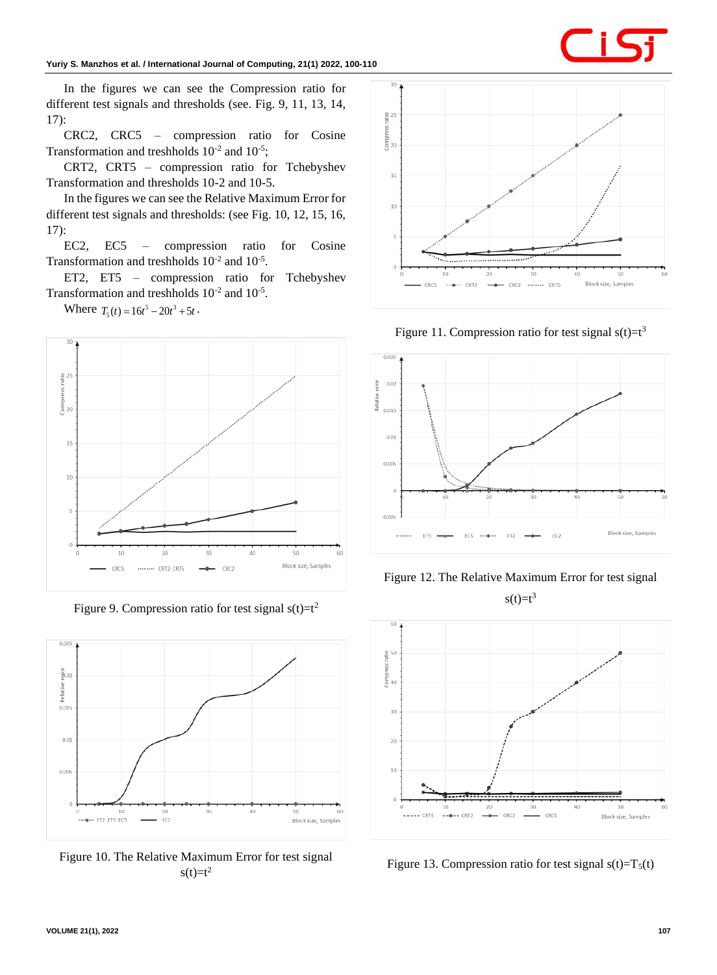

In the figures we can see the Compression ratio for different test signals and thresholds (see. Fig. 9, 11, 13, 14, 17):

CRC2, CRC5 – compression ratio for Cosine Transformation and treshholds  $10^{-2}$  and  $10^{-5}$ ;

CRT2, CRT5 – compression ratio for Tchebyshev Transformation and thresholds 10-2 and 10-5.

In the figures we can see the Relative Maximum Error for different test signals and thresholds: (see Fig. 10, 12, 15, 16, 17):

EC2, EC5 – compression ratio for Cosine Transformation and treshholds  $10^{-2}$  and  $10^{-5}$ .

ET2, ET5 – compression ratio for Tchebyshev Transformation and treshholds  $10^{-2}$  and  $10^{-5}$ .

Where  $T_5(t) = 16t^5 - 20t^3 + 5t$ .



Figure 9. Compression ratio for test signal  $s(t)=t^2$ 



Figure 10. The Relative Maximum Error for test signal  $s(t)=t^2$ 



Figure 11. Compression ratio for test signal  $s(t)=t^3$ 





 $s(t)=t^3$ 



Figure 13. Compression ratio for test signal  $s(t)=T<sub>5</sub>(t)$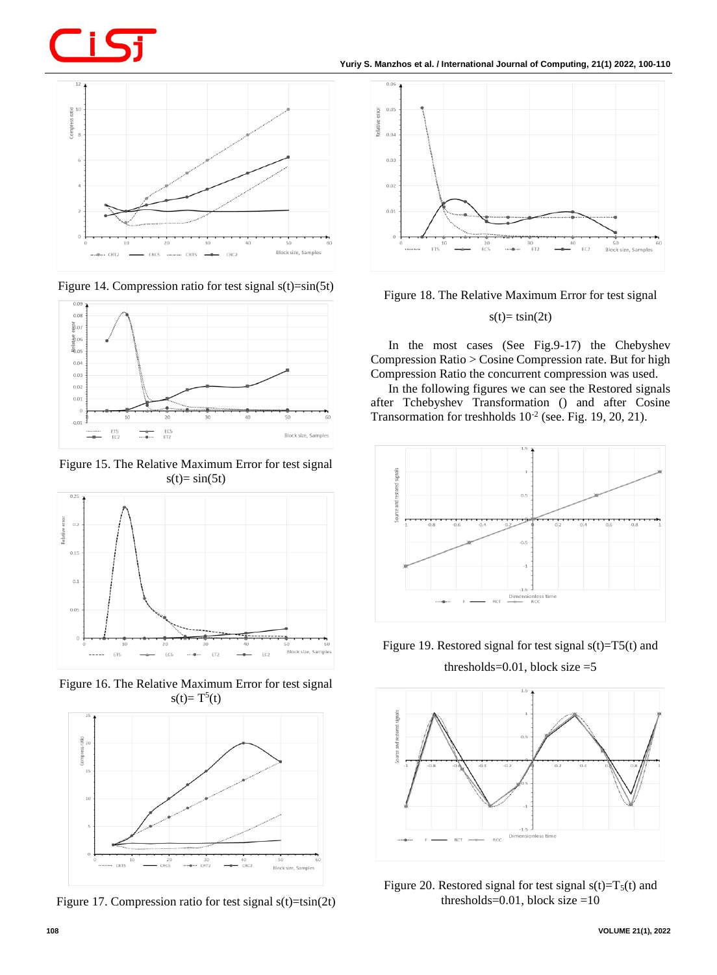**Yuriy S. Manzhos** *et al.* **/ International Journal of Computing, 21(1) 2022, 100-110**



Figure 14. Compression ratio for test signal  $s(t)=sin(5t)$ 



Figure 15. The Relative Maximum Error for test signal  $s(t)=\sin(5t)$ 



Figure 16. The Relative Maximum Error for test signal  $s(t)=T^5(t)$ 



Figure 17. Compression ratio for test signal  $s(t)=tsin(2t)$ 



Figure 18. The Relative Maximum Error for test signal

 $s(t)= t\sin(2t)$ 

In the most cases (See Fig.9-17) the Chebyshev Compression Ratio > Cosine Compression rate. But for high Compression Ratio the concurrent compression was used.

In the following figures we can see the Restored signals after Tchebyshev Transformation () and after Cosine Transormation for treshholds  $10^{-2}$  (see. Fig. 19, 20, 21).



Figure 19. Restored signal for test signal  $s(t)=T5(t)$  and

thresholds= $0.01$ , block size = $5$ 



Figure 20. Restored signal for test signal  $s(t)=T<sub>5</sub>(t)$  and thresholds= $0.01$ , block size =10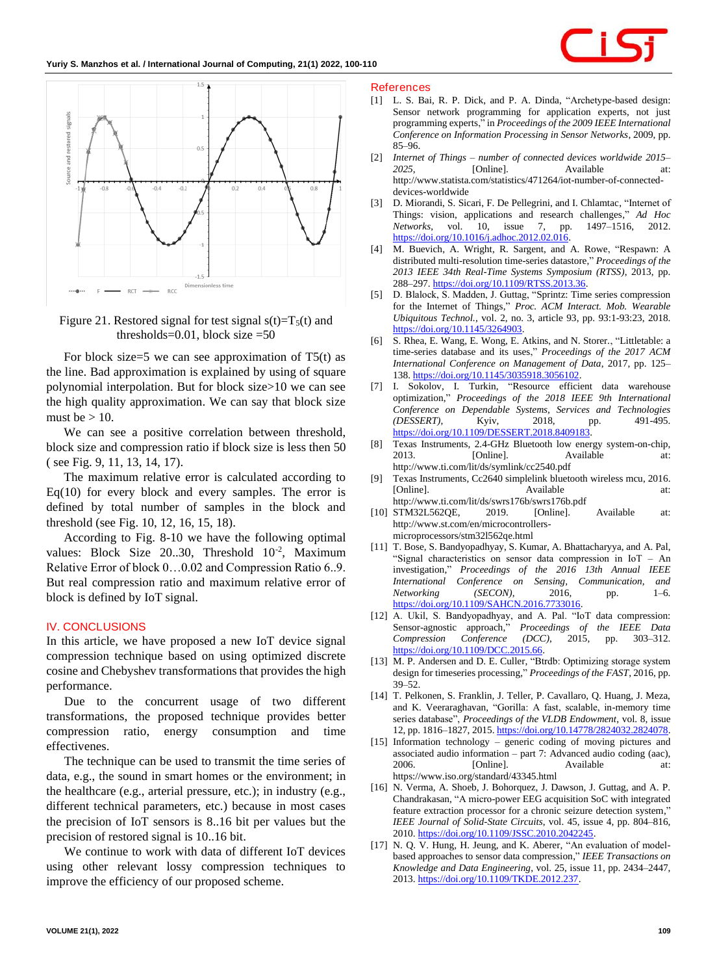

Figure 21. Restored signal for test signal  $s(t)=T_5(t)$  and thresholds= $0.01$ , block size =50

For block size=5 we can see approximation of  $T5(t)$  as the line. Bad approximation is explained by using of square polynomial interpolation. But for block size>10 we can see the high quality approximation. We can say that block size must be  $> 10$ .

We can see a positive correlation between threshold, block size and compression ratio if block size is less then 50 ( see Fig. 9, 11, 13, 14, 17).

The maximum relative error is calculated according to  $Eq(10)$  for every block and every samples. The error is defined by total number of samples in the block and threshold (see Fig. 10, 12, 16, 15, 18).

According to Fig. 8-10 we have the following optimal values: Block Size  $20..30$ , Threshold  $10^{-2}$ , Maximum Relative Error of block 0…0.02 and Compression Ratio 6..9. But real compression ratio and maximum relative error of block is defined by IoT signal.

### **IV. CONCLUSIONS**

In this article, we have proposed a new IoT device signal compression technique based on using optimized discrete cosine and Chebyshev transformations that provides the high performance.

Due to the concurrent usage of two different transformations, the proposed technique provides better compression ratio, energy consumption and time effectivenes.

The technique can be used to transmit the time series of data, e.g., the sound in smart homes or the environment; in the healthcare (e.g., arterial pressure, etc.); in industry (e.g., different technical parameters, etc.) because in most cases the precision of IoT sensors is 8..16 bit per values but the precision of restored signal is 10..16 bit.

We continue to work with data of different IoT devices using other relevant lossy compression techniques to improve the efficiency of our proposed scheme.

#### **References**

- [1] L. S. Bai, R. P. Dick, and P. A. Dinda, "Archetype-based design: Sensor network programming for application experts, not just programming experts," in *Proceedings of the 2009 IEEE International Conference on Information Processing in Sensor Networks*, 2009, pp. 85–96.
- [2] *Internet of Things – number of connected devices worldwide 2015–* 2025, [Online]. Available at: http://www.statista.com/statistics/471264/iot-number-of-connecteddevices-worldwide
- [3] D. Miorandi, S. Sicari, F. De Pellegrini, and I. Chlamtac, "Internet of Things: vision, applications and research challenges," *Ad Hoc Networks*, vol. 10, issue 7, pp. 1497–1516, 2012. [https://doi.org/10.1016/j.adhoc.2012.02.016.](https://doi.org/10.1016/j.adhoc.2012.02.016)
- [4] M. Buevich, A. Wright, R. Sargent, and A. Rowe, "Respawn: A distributed multi-resolution time-series datastore," *Proceedings of the 2013 IEEE 34th Real-Time Systems Symposium (RTSS)*, 2013, pp. 288–297. [https://doi.org/10.1109/RTSS.2013.36.](https://doi.org/10.1109/RTSS.2013.36)
- [5] D. Blalock, S. Madden, J. Guttag, "Sprintz: Time series compression for the Internet of Things," *Proc. ACM Interact. Mob. Wearable Ubiquitous Technol.*, vol. 2, no. 3, article 93, pp. 93:1-93:23, 2018. [https://doi.org/10.1145/3264903.](https://doi.org/10.1145/3264903)
- [6] S. Rhea, E. Wang, E. Wong, E. Atkins, and N. Storer., "Littletable: a time-series database and its uses," *Proceedings of the 2017 ACM International Conference on Management of Data*, 2017, pp. 125– 138. [https://doi.org/10.1145/3035918.3056102.](https://doi.org/10.1145/3035918.3056102)
- [7] I. Sokolov, I. Turkin, "Resource efficient data warehouse optimization," *Proceedings of the 2018 IEEE 9th International Conference on Dependable Systems, Services and Technologies (DESSERT)*, Kyiv, 2018, pp. 491-495. [https://doi.org/10.1109/DESSERT.2018.8409183.](https://doi.org/10.1109/DESSERT.2018.8409183)
- [8] Texas Instruments, 2.4-GHz Bluetooth low energy system-on-chip, 2013. [Online]. Available at: http://www.ti.com/lit/ds/symlink/cc2540.pdf
- [9] Texas Instruments, Cc2640 simplelink bluetooth wireless mcu, 2016. [Online]. at: Available at: http://www.ti.com/lit/ds/swrs176b/swrs176b.pdf
- [10] STM32L562QE, 2019. [Online]. Available at: http://www.st.com/en/microcontrollersmicroprocessors/stm32l562qe.html
- [11] T. Bose, S. Bandyopadhyay, S. Kumar, A. Bhattacharyya, and A. Pal, "Signal characteristics on sensor data compression in IoT – An investigation," *Proceedings of the 2016 13th Annual IEEE International Conference on Sensing, Communication, and Networking (SECON)*, 2016, pp. 1–6. [https://doi.org/10.1109/SAHCN.2016.7733016.](https://doi.org/10.1109/SAHCN.2016.7733016)
- [12] A. Ukil, S. Bandyopadhyay, and A. Pal. "IoT data compression: Sensor-agnostic approach," *Proceedings of the IEEE Data Compression Conference (DCC)*, 2015, pp. 303–312. [https://doi.org/10.1109/DCC.2015.66.](https://doi.org/10.1109/DCC.2015.66)
- [13] M. P. Andersen and D. E. Culler, "Btrdb: Optimizing storage system design for timeseries processing," *Proceedings of the FAST*, 2016, pp. 39–52.
- [14] T. Pelkonen, S. Franklin, J. Teller, P. Cavallaro, Q. Huang, J. Meza, and K. Veeraraghavan, "Gorilla: A fast, scalable, in-memory time series database", *Proceedings of the VLDB Endowment*, vol. 8, issue 12, pp. 1816-1827, 2015. [https://doi.org/10.14778/2824032.2824078.](https://doi.org/10.14778/2824032.2824078)
- [15] Information technology generic coding of moving pictures and associated audio information – part 7: Advanced audio coding (aac), 2006. **[Online].** Available at: https://www.iso.org/standard/43345.html
- [16] N. Verma, A. Shoeb, J. Bohorquez, J. Dawson, J. Guttag, and A. P. Chandrakasan, "A micro-power EEG acquisition SoC with integrated feature extraction processor for a chronic seizure detection system," *IEEE Journal of Solid-State Circuits*, vol. 45, issue 4, pp. 804–816, 2010. [https://doi.org/10.1109/JSSC.2010.2042245.](https://doi.org/10.1109/JSSC.2010.2042245)
- [17] N. Q. V. Hung, H. Jeung, and K. Aberer, "An evaluation of modelbased approaches to sensor data compression," *IEEE Transactions on Knowledge and Data Engineering*, vol. 25, issue 11, pp. 2434–2447, 2013. [https://doi.org/10.1109/TKDE.2012.237.](https://doi.org/10.1109/TKDE.2012.237)